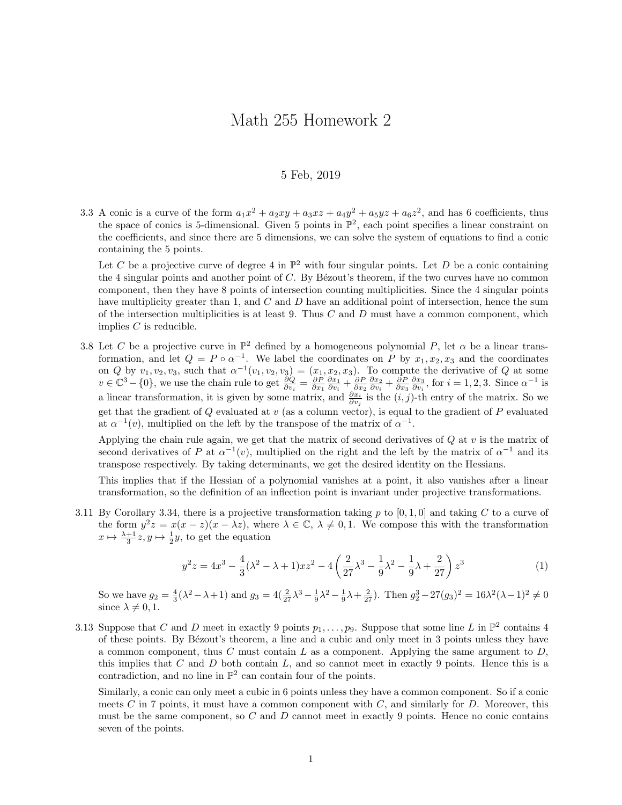## Math 255 Homework 2

## 5 Feb, 2019

3.3 A conic is a curve of the form  $a_1x^2 + a_2xy + a_3xz + a_4y^2 + a_5yz + a_6z^2$ , and has 6 coefficients, thus the space of conics is 5-dimensional. Given 5 points in  $\mathbb{P}^2$ , each point specifies a linear constraint on the coefficients, and since there are 5 dimensions, we can solve the system of equations to find a conic containing the 5 points.

Let C be a projective curve of degree 4 in  $\mathbb{P}^2$  with four singular points. Let D be a conic containing the 4 singular points and another point of  $C$ . By Bézout's theorem, if the two curves have no common component, then they have 8 points of intersection counting multiplicities. Since the 4 singular points have multiplicity greater than 1, and C and D have an additional point of intersection, hence the sum of the intersection multiplicities is at least 9. Thus  $C$  and  $D$  must have a common component, which implies  $C$  is reducible.

3.8 Let C be a projective curve in  $\mathbb{P}^2$  defined by a homogeneous polynomial P, let  $\alpha$  be a linear transformation, and let  $Q = P \circ \alpha^{-1}$ . We label the coordinates on P by  $x_1, x_2, x_3$  and the coordinates on Q by  $v_1, v_2, v_3$ , such that  $\alpha^{-1}(v_1, v_2, v_3) = (x_1, x_2, x_3)$ . To compute the derivative of Q at some  $v \in \mathbb{C}^{3} - \{0\}$ , we use the chain rule to get  $\frac{\partial Q}{\partial v_i} = \frac{\partial P}{\partial x_1} \frac{\partial x_1}{\partial v_i} + \frac{\partial P}{\partial x_2} \frac{\partial x_2}{\partial v_i} + \frac{\partial P}{\partial x_3} \frac{\partial x_3}{\partial v_i}$ , for  $i = 1, 2, 3$ . Since  $\alpha^{-1}$  is a linear transformation, it is given by some matrix, and  $\frac{\partial x_i}{\partial v_j}$  is the  $(i, j)$ -th entry of the matrix. So we get that the gradient of  $Q$  evaluated at  $v$  (as a column vector), is equal to the gradient of  $P$  evaluated at  $\alpha^{-1}(v)$ , multiplied on the left by the transpose of the matrix of  $\alpha^{-1}$ .

Applying the chain rule again, we get that the matrix of second derivatives of  $Q$  at  $v$  is the matrix of second derivatives of P at  $\alpha^{-1}(v)$ , multiplied on the right and the left by the matrix of  $\alpha^{-1}$  and its transpose respectively. By taking determinants, we get the desired identity on the Hessians.

This implies that if the Hessian of a polynomial vanishes at a point, it also vanishes after a linear transformation, so the definition of an inflection point is invariant under projective transformations.

3.11 By Corollary 3.34, there is a projective transformation taking p to  $[0, 1, 0]$  and taking C to a curve of the form  $y^2z = x(x - z)(x - \lambda z)$ , where  $\lambda \in \mathbb{C}$ ,  $\lambda \neq 0, 1$ . We compose this with the transformation  $x \mapsto \frac{\lambda+1}{3}z, y \mapsto \frac{1}{2}y$ , to get the equation

$$
y^{2}z = 4x^{3} - \frac{4}{3}(\lambda^{2} - \lambda + 1)xz^{2} - 4\left(\frac{2}{27}\lambda^{3} - \frac{1}{9}\lambda^{2} - \frac{1}{9}\lambda + \frac{2}{27}\right)z^{3}
$$
 (1)

So we have  $g_2 = \frac{4}{3}(\lambda^2 - \lambda + 1)$  and  $g_3 = 4(\frac{2}{27}\lambda^3 - \frac{1}{9}\lambda^2 - \frac{1}{9}\lambda + \frac{2}{27})$ . Then  $g_2^3 - 27(g_3)^2 = 16\lambda^2(\lambda - 1)^2 \neq 0$ since  $\lambda \neq 0, 1$ .

3.13 Suppose that C and D meet in exactly 9 points  $p_1, \ldots, p_9$ . Suppose that some line L in  $\mathbb{P}^2$  contains 4 of these points. By Bézout's theorem, a line and a cubic and only meet in 3 points unless they have a common component, thus C must contain L as a component. Applying the same argument to  $D$ , this implies that  $C$  and  $D$  both contain  $L$ , and so cannot meet in exactly 9 points. Hence this is a contradiction, and no line in  $\mathbb{P}^2$  can contain four of the points.

Similarly, a conic can only meet a cubic in 6 points unless they have a common component. So if a conic meets  $C$  in 7 points, it must have a common component with  $C$ , and similarly for  $D$ . Moreover, this must be the same component, so  $C$  and  $D$  cannot meet in exactly 9 points. Hence no conic contains seven of the points.